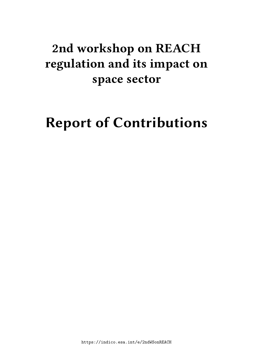## **2nd workshop on REACH regulation and its impact on space sector**

# **Report of Contributions**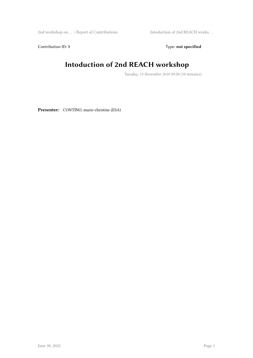2nd workshop on … / Report of Contributions Intoduction of 2nd REACH works …

Contribution ID: 1 Type: **not specified** 

## **Intoduction of 2nd REACH workshop**

*Tuesday, 13 November 2018 09:30 (10 minutes)*

**Presenter:** CONTINO, marie-christine (ESA)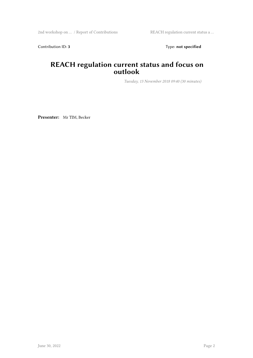Contribution ID: 3 Type: **not specified** 

### **REACH regulation current status and focus on outlook**

*Tuesday, 13 November 2018 09:40 (30 minutes)*

**Presenter:** Mr TIM, Becker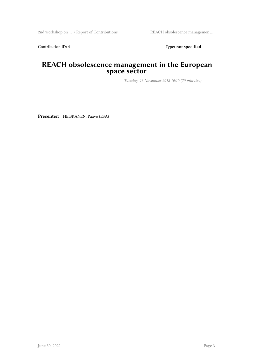Contribution ID: 4 Type: **not specified** 

#### **REACH obsolescence management in the European space sector**

*Tuesday, 13 November 2018 10:10 (20 minutes)*

**Presenter:** HEISKANEN, Paavo (ESA)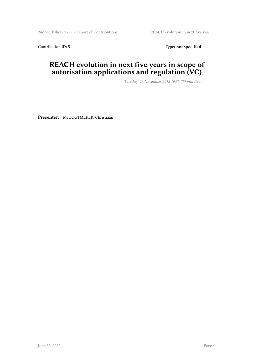2nd workshop on … / Report of Contributions REACH evolution in next five yea …

Contribution ID: 5 Type: **not specified** 

#### **REACH evolution in next five years in scope of autorisation applications and regulation (VC)**

*Tuesday, 13 November 2018 10:30 (30 minutes)*

**Presenter:** Mr LOGTMEIJER, Christiaan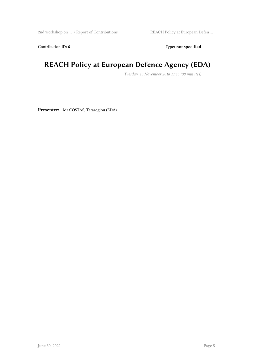Contribution ID: 6 Type: not specified

## **REACH Policy at European Defence Agency (EDA)**

*Tuesday, 13 November 2018 11:15 (30 minutes)*

**Presenter:** Mr COSTAS, Tataroglou (EDA)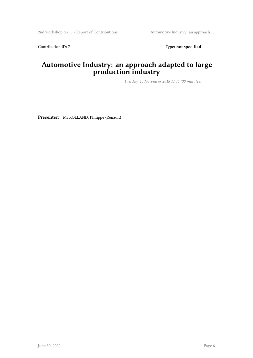Contribution ID: 7 Type: **not specified** 

### **Automotive Industry: an approach adapted to large production industry**

*Tuesday, 13 November 2018 11:45 (30 minutes)*

**Presenter:** Mr ROLLAND, Philippe (Renault)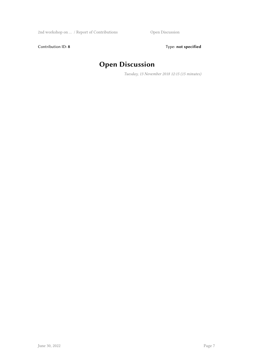Contribution ID: 8 Type: **not specified** 

## **Open Discussion**

*Tuesday, 13 November 2018 12:15 (15 minutes)*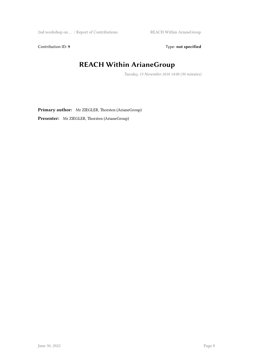Contribution ID: 9 Type: **not specified** 

## **REACH Within ArianeGroup**

*Tuesday, 13 November 2018 14:00 (30 minutes)*

**Primary author:** Mr ZIEGLER, Thorsten (ArianeGroup)

**Presenter:** Mr ZIEGLER, Thorsten (ArianeGroup)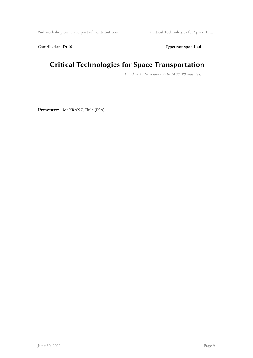2nd workshop on ... / Report of Contributions Critical Technologies for Space Tr ...

Contribution ID: 10 **Type:** not specified

## **Critical Technologies for Space Transportation**

*Tuesday, 13 November 2018 14:30 (20 minutes)*

**Presenter:** Mr KRANZ, Thilo (ESA)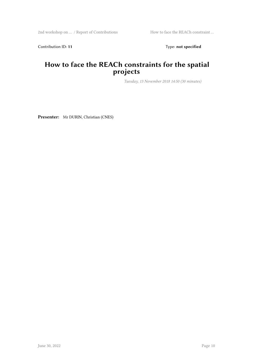Contribution ID: 11 Type: **not specified** 

#### **How to face the REACh constraints for the spatial projects**

*Tuesday, 13 November 2018 14:50 (30 minutes)*

**Presenter:** Mr DURIN, Christian (CNES)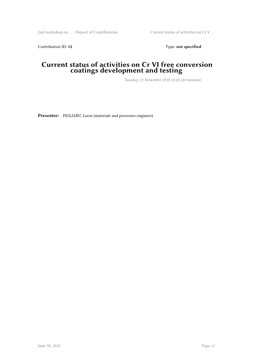Contribution ID: 12 Type: **not specified** 

#### **Current status of activities on Cr VI free conversion coatings development and testing**

*Tuesday, 13 November 2018 15:20 (20 minutes)*

**Presenter:** PIGLIARU, Lucia (materials and processes engineer)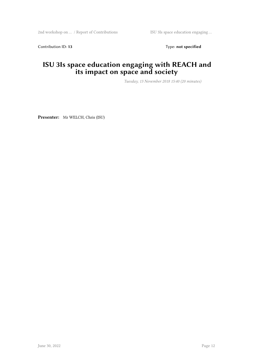Contribution ID: 13 Type: **not specified** 

#### **ISU 3Is space education engaging with REACH and its impact on space and society**

*Tuesday, 13 November 2018 15:40 (20 minutes)*

**Presenter:** Mr WELCH, Chris (ISU)